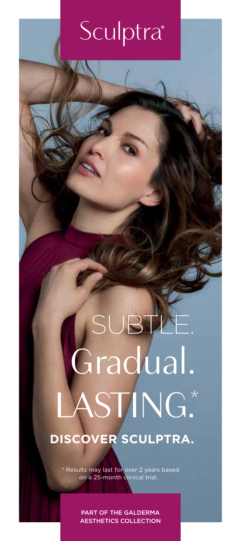### Sculptra<sup>®</sup>

### **DISCOVER SCULPTRA.** SUBTLE. Gradual. ASTING\*

\* Results may last for over 2 years based on a 25-month clinical trial.

> PART OF THE GALDERMA AESTHETICS COLLECTION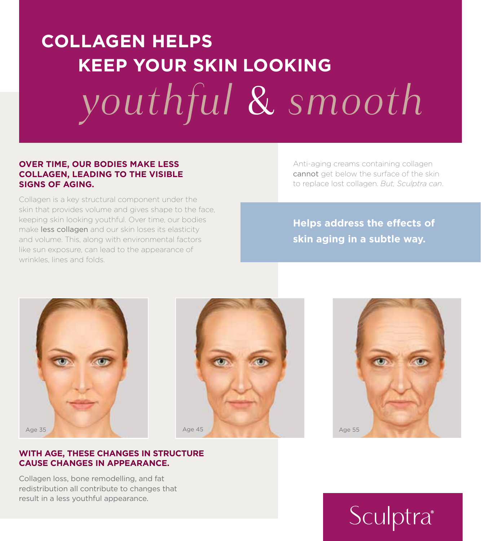### **COLLAGEN HELPS KEEP YOUR SKIN LOOKING**  *youthful* & *smooth*

#### **OVER TIME, OUR BODIES MAKE LESS COLLAGEN, LEADING TO THE VISIBLE SIGNS OF AGING.**

Collagen is a key structural component under the skin that provides volume and gives shape to the face, keeping skin looking youthful. Over time, our bodies make less collagen and our skin loses its elasticity and volume. This, along with environmental factors like sun exposure, can lead to the appearance of wrinkles, lines and folds.

Anti-aging creams containing collagen cannot get below the surface of the skin to replace lost collagen. *But, Sculptra can*.

**Helps address the effects of skin aging in a subtle way.**



Collagen loss, bone remodelling, and fat redistribution all contribute to changes that result in a less youthful appearance.





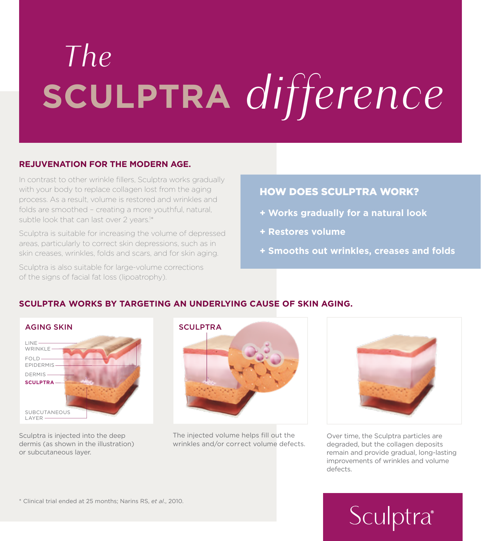## **SCULPTRA** *difference The*

#### **REJUVENATION FOR THE MODERN AGE.**

In contrast to other wrinkle fillers, Sculptra works gradually with your body to replace collagen lost from the aging process. As a result, volume is restored and wrinkles and folds are smoothed – creating a more youthful, natural, subtle look that can last over 2 years.<sup>1\*</sup>

Sculptra is suitable for increasing the volume of depressed areas, particularly to correct skin depressions, such as in skin creases, wrinkles, folds and scars, and for skin aging.

Sculptra is also suitable for large-volume corrections of the signs of facial fat loss (lipoatrophy).

### HOW DOES SCULPTRA WORK?

- **+ Works gradually for a natural look**
- **+ Restores volume**
- **+ Smooths out wrinkles, creases and folds**

### **SCULPTRA WORKS BY TARGETING AN UNDERLYING CAUSE OF SKIN AGING.**

| <b>AGING SKIN</b>            |
|------------------------------|
| LINE<br>WRINKLE <sup>-</sup> |
| $FOLD$ —<br>EPIDERMIS-       |
| DERMIS-<br><b>SCULPTRA-</b>  |
|                              |
| <b>SUBCUTANEOUS</b><br>LAYER |

Sculptra is injected into the deep dermis (as shown in the illustration) or subcutaneous layer.



The injected volume helps fill out the wrinkles and/or correct volume defects.



Over time, the Sculptra particles are degraded, but the collagen deposits remain and provide gradual, long-lasting improvements of wrinkles and volume defects.

\* Clinical trial ended at 25 months; Narins RS, *et al*., 2010.

### Sculptra®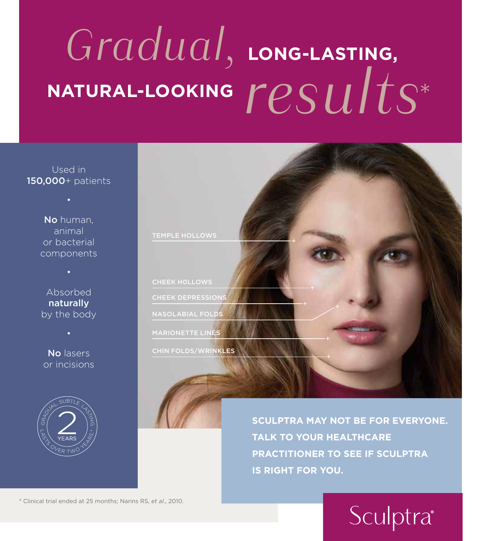### **LONG-LASTING,**  NATURAL-LOOKING  $results*$ *Gradual,*

Used in 150,000+ patients

> No human, animal or bacterial components

Absorbed naturally by the body

No lasers or incisions





**SCULPTRA MAY NOT BE FOR EVERYONE. TALK TO YOUR HEALTHCARE PRACTITIONER TO SEE IF SCULPTRA IS RIGHT FOR YOU.** 

\* Clinical trial ended at 25 months; Narins RS, *et al*., 2010.

### Sculptra<sup>®</sup>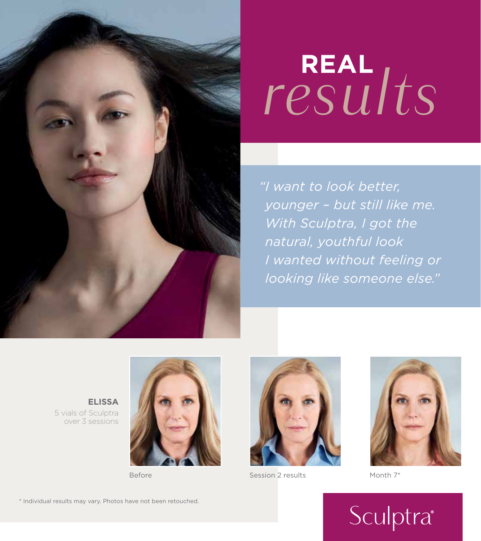

# **REAL** *results*

 *"I want to look better, younger – but still like me. With Sculptra, I got the natural, youthful look I wanted without feeling or looking like someone else."*

**ELISSA** 5 vials of Sculptra over 3 sessions





Before Session 2 results Month 7\*



#### \* Individual results may vary. Photos have not been retouched.

### Sculptra®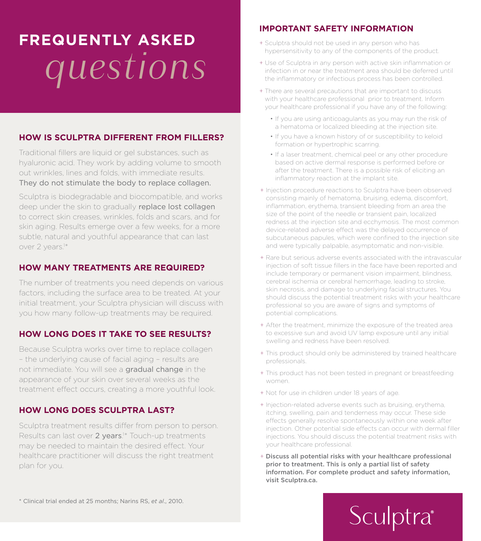### **FREQUENTLY ASKED**  *questions*

### **HOW IS SCULPTRA DIFFERENT FROM FILLERS?**

Traditional fillers are liquid or gel substances, such as hyaluronic acid. They work by adding volume to smooth out wrinkles, lines and folds, with immediate results. They do not stimulate the body to replace collagen.

Sculptra is biodegradable and biocompatible, and works deep under the skin to gradually replace lost collagen to correct skin creases, wrinkles, folds and scars, and for skin aging. Results emerge over a few weeks, for a more subtle, natural and youthful appearance that can last over 2 years.<sup>1\*</sup>

#### **HOW MANY TREATMENTS ARE REQUIRED?**

The number of treatments you need depends on various factors, including the surface area to be treated. At your initial treatment, your Sculptra physician will discuss with you how many follow-up treatments may be required.

#### **HOW LONG DOES IT TAKE TO SEE RESULTS?**

Because Sculptra works over time to replace collagen – the underlying cause of facial aging – results are not immediate. You will see a gradual change in the appearance of your skin over several weeks as the treatment effect occurs, creating a more youthful look.

#### **HOW LONG DOES SCULPTRA LAST?**

Sculptra treatment results differ from person to person. Results can last over 2 years.<sup>1\*</sup> Touch-up treatments may be needed to maintain the desired effect. Your healthcare practitioner will discuss the right treatment plan for you.

#### **IMPORTANT SAFETY INFORMATION**

- + Sculptra should not be used in any person who has hypersensitivity to any of the components of the product.
- + Use of Sculptra in any person with active skin inflammation or infection in or near the treatment area should be deferred until the inflammatory or infectious process has been controlled.
- + There are several precautions that are important to discuss with your healthcare professional prior to treatment. Inform your healthcare professional if you have any of the following:
	- If you are using anticoagulants as you may run the risk of a hematoma or localized bleeding at the injection site.
	- If you have a known history of or susceptibility to keloid formation or hypertrophic scarring.
	- If a laser treatment, chemical peel or any other procedure based on active dermal response is performed before or after the treatment. There is a possible risk of eliciting an inflammatory reaction at the implant site.
- + Injection procedure reactions to Sculptra have been observed consisting mainly of hematoma, bruising, edema, discomfort, inflammation, erythema, transient bleeding from an area the size of the point of the needle or transient pain, localized redness at the injection site and ecchymosis. The most common device-related adverse effect was the delayed occurrence of subcutaneous papules, which were confined to the injection site and were typically palpable, asymptomatic and non-visible.
- + Rare but serious adverse events associated with the intravascular injection of soft tissue fillers in the face have been reported and include temporary or permanent vision impairment, blindness, cerebral ischemia or cerebral hemorrhage, leading to stroke, skin necrosis, and damage to underlying facial structures. You should discuss the potential treatment risks with your healthcare professional so you are aware of signs and symptoms of potential complications.
- + After the treatment, minimize the exposure of the treated area to excessive sun and avoid UV lamp exposure until any initial swelling and redness have been resolved.
- + This product should only be administered by trained healthcare professionals.
- + This product has not been tested in pregnant or breastfeeding women.
- + Not for use in children under 18 years of age.
- + Injection-related adverse events such as bruising, erythema, itching, swelling, pain and tenderness may occur. These side effects generally resolve spontaneously within one week after injection. Other potential side effects can occur with dermal filler injections. You should discuss the potential treatment risks with your healthcare professional.
- + Discuss all potential risks with your healthcare professional prior to treatment. This is only a partial list of safety information. For complete product and safety information, visit Sculptra.ca.

\* Clinical trial ended at 25 months; Narins RS, *et al*., 2010.

### *Sculptra*<sup>®</sup>